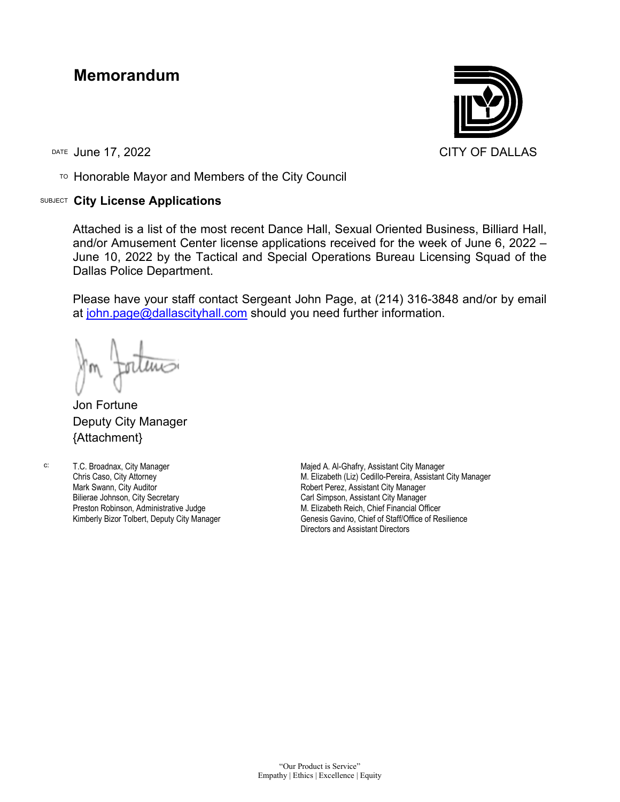## **Memorandum**

TO Honorable Mayor and Members of the City Council

## SUBJECT **City License Applications**



Attached is a list of the most recent Dance Hall, Sexual Oriented Business, Billiard Hall, and/or Amusement Center license applications received for the week of June 6, 2022 – June 10, 2022 by the Tactical and Special Operations Bureau Licensing Squad of the Dallas Police Department.

Please have your staff contact Sergeant John Page, at (214) 316-3848 and/or by email at [john.page@dallascityhall.com](mailto:john.page@dallascityhall.com) should you need further information.

Jon Fortune Deputy City Manager {Attachment}

c: T.C. Broadnax, City Manager Chris Caso, City Attorney Mark Swann, City Auditor Bilierae Johnson, City Secretary Preston Robinson, Administrative Judge Kimberly Bizor Tolbert, Deputy City Manager

Majed A. Al-Ghafry, Assistant City Manager M. Elizabeth (Liz) Cedillo-Pereira, Assistant City Manager Robert Perez, Assistant City Manager Carl Simpson, Assistant City Manager M. Elizabeth Reich, Chief Financial Officer Genesis Gavino, Chief of Staff/Office of Resilience Directors and Assistant Directors